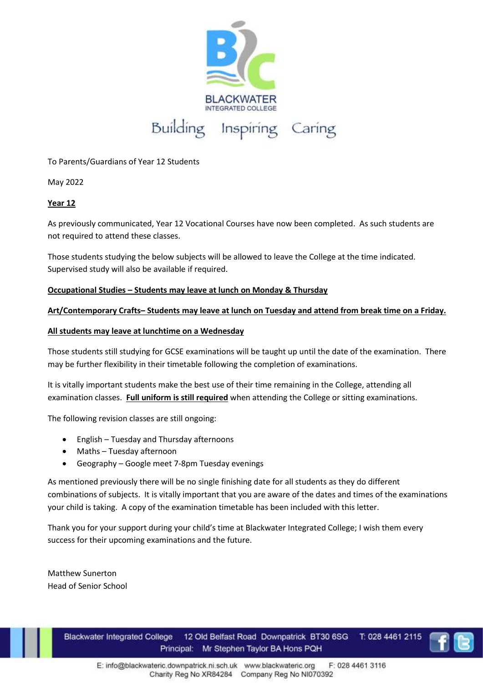

To Parents/Guardians of Year 12 Students

May 2022

## **Year 12**

As previously communicated, Year 12 Vocational Courses have now been completed. As such students are not required to attend these classes.

Those students studying the below subjects will be allowed to leave the College at the time indicated. Supervised study will also be available if required.

## **Occupational Studies – Students may leave at lunch on Monday & Thursday**

## **Art/Contemporary Crafts– Students may leave at lunch on Tuesday and attend from break time on a Friday.**

## **All students may leave at lunchtime on a Wednesday**

Those students still studying for GCSE examinations will be taught up until the date of the examination. There may be further flexibility in their timetable following the completion of examinations.

It is vitally important students make the best use of their time remaining in the College, attending all examination classes. **Full uniform is still required** when attending the College or sitting examinations.

The following revision classes are still ongoing:

- English Tuesday and Thursday afternoons
- Maths Tuesday afternoon
- Geography Google meet 7-8pm Tuesday evenings

As mentioned previously there will be no single finishing date for all students as they do different combinations of subjects. It is vitally important that you are aware of the dates and times of the examinations your child is taking. A copy of the examination timetable has been included with this letter.

Thank you for your support during your child's time at Blackwater Integrated College; I wish them every success for their upcoming examinations and the future.

Matthew Sunerton Head of Senior School

> T: 028 4461 2115 **Blackwater Integrated College** 12 Old Belfast Road Downpatrick BT30 6SG Principal: Mr Stephen Taylor BA Hons PQH